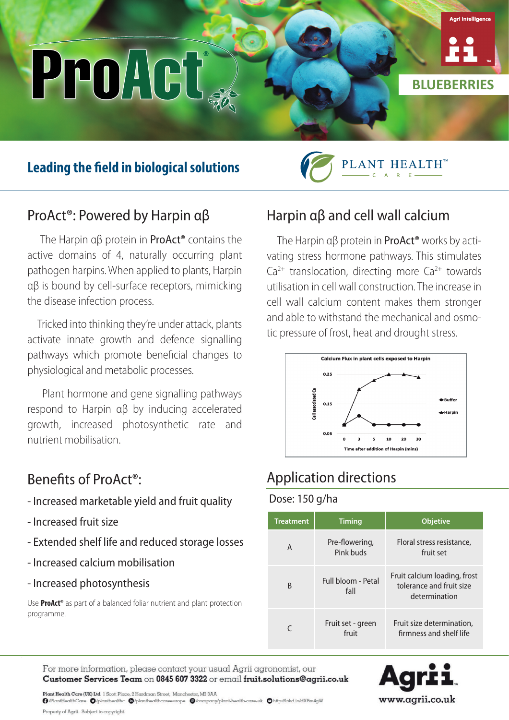# ProAct

# **Leading the field in biological solutions**



**BLUEBERRIES**

.<br>Aari intelliae

## ProAct®: Powered by Harpin αβ

 The Harpin αβ protein in ProAct® contains the active domains of 4, naturally occurring plant pathogen harpins. When applied to plants, Harpin αβ is bound by cell-surface receptors, mimicking the disease infection process.

 Tricked into thinking they're under attack, plants activate innate growth and defence signalling pathways which promote beneficial changes to physiological and metabolic processes.

 Plant hormone and gene signalling pathways respond to Harpin αβ by inducing accelerated growth, increased photosynthetic rate and nutrient mobilisation.

### Benefits of ProAct®:

- Increased marketable yield and fruit quality
- Increased fruit size
- Extended shelf life and reduced storage losses
- Increased calcium mobilisation
- Increased photosynthesis

Use **ProAct®** as part of a balanced foliar nutrient and plant protection programme.

# Harpin αβ and cell wall calcium

The Harpin  $\alpha\beta$  protein in **ProAct<sup>®</sup>** works by activating stress hormone pathways. This stimulates  $Ca<sup>2+</sup>$  translocation, directing more  $Ca<sup>2+</sup>$  towards utilisation in cell wall construction. The increase in cell wall calcium content makes them stronger and able to withstand the mechanical and osmotic pressure of frost, heat and drought stress.



# Application directions

#### Dose: 150 g/ha

| <b>Treatment</b> | <b>Timing</b>               | <b>Objetive</b>                                                           |
|------------------|-----------------------------|---------------------------------------------------------------------------|
| A                | Pre-flowering,<br>Pink buds | Floral stress resistance,<br>fruit set                                    |
| B                | Full bloom - Petal<br>fall  | Fruit calcium loading, frost<br>tolerance and fruit size<br>determination |
|                  | Fruit set - green<br>fruit  | Fruit size determination,<br>firmness and shelf life                      |

For more information, please contact your usual Agrii agronomist, our Customer Services Team on 0845 607 3322 or email fruit.solutions@agrii.co.uk



Plant Health Care (UK) Ltd 1 Scott Place, 2 Hardman Street, Manchester, M3 3AA  $\textbf{\textit{Q}-PlantHead}$ Property of Agrii. Subject to copyright.